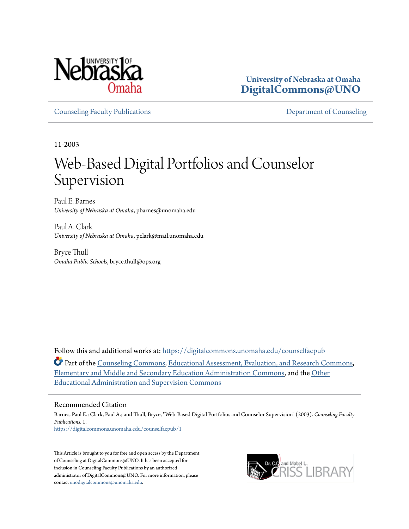

**University of Nebraska at Omaha [DigitalCommons@UNO](https://digitalcommons.unomaha.edu?utm_source=digitalcommons.unomaha.edu%2Fcounselfacpub%2F1&utm_medium=PDF&utm_campaign=PDFCoverPages)**

[Counseling Faculty Publications](https://digitalcommons.unomaha.edu/counselfacpub?utm_source=digitalcommons.unomaha.edu%2Fcounselfacpub%2F1&utm_medium=PDF&utm_campaign=PDFCoverPages) [Department of Counseling](https://digitalcommons.unomaha.edu/counsel?utm_source=digitalcommons.unomaha.edu%2Fcounselfacpub%2F1&utm_medium=PDF&utm_campaign=PDFCoverPages)

11-2003

# Web-Based Digital Portfolios and Counselor Supervision

Paul E. Barnes *University of Nebraska at Omaha*, pbarnes@unomaha.edu

Paul A. Clark *University of Nebraska at Omaha*, pclark@mail.unomaha.edu

Bryce Thull *Omaha Public Schools*, bryce.thull@ops.org

Follow this and additional works at: [https://digitalcommons.unomaha.edu/counselfacpub](https://digitalcommons.unomaha.edu/counselfacpub?utm_source=digitalcommons.unomaha.edu%2Fcounselfacpub%2F1&utm_medium=PDF&utm_campaign=PDFCoverPages)

**Part of the [Counseling Commons](http://network.bepress.com/hgg/discipline/1268?utm_source=digitalcommons.unomaha.edu%2Fcounselfacpub%2F1&utm_medium=PDF&utm_campaign=PDFCoverPages), [Educational Assessment, Evaluation, and Research Commons](http://network.bepress.com/hgg/discipline/796?utm_source=digitalcommons.unomaha.edu%2Fcounselfacpub%2F1&utm_medium=PDF&utm_campaign=PDFCoverPages),** [Elementary and Middle and Secondary Education Administration Commons,](http://network.bepress.com/hgg/discipline/790?utm_source=digitalcommons.unomaha.edu%2Fcounselfacpub%2F1&utm_medium=PDF&utm_campaign=PDFCoverPages) and the [Other](http://network.bepress.com/hgg/discipline/794?utm_source=digitalcommons.unomaha.edu%2Fcounselfacpub%2F1&utm_medium=PDF&utm_campaign=PDFCoverPages) [Educational Administration and Supervision Commons](http://network.bepress.com/hgg/discipline/794?utm_source=digitalcommons.unomaha.edu%2Fcounselfacpub%2F1&utm_medium=PDF&utm_campaign=PDFCoverPages)

# Recommended Citation

Barnes, Paul E.; Clark, Paul A.; and Thull, Bryce, "Web-Based Digital Portfolios and Counselor Supervision" (2003). *Counseling Faculty Publications*. 1. [https://digitalcommons.unomaha.edu/counselfacpub/1](https://digitalcommons.unomaha.edu/counselfacpub/1?utm_source=digitalcommons.unomaha.edu%2Fcounselfacpub%2F1&utm_medium=PDF&utm_campaign=PDFCoverPages)

This Article is brought to you for free and open access by the Department of Counseling at DigitalCommons@UNO. It has been accepted for inclusion in Counseling Faculty Publications by an authorized administrator of DigitalCommons@UNO. For more information, please contact [unodigitalcommons@unomaha.edu.](mailto:unodigitalcommons@unomaha.edu)

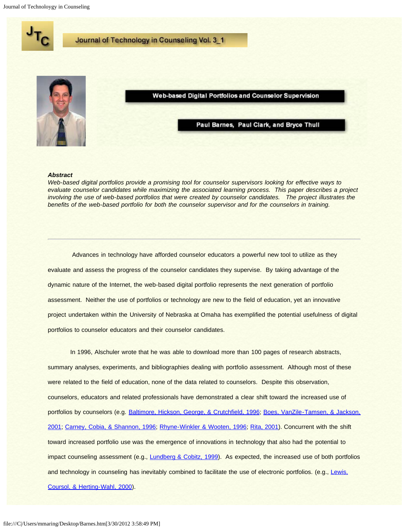<span id="page-1-0"></span>Journal of Technoloygy in Counseling



#### *Abstract*

*Web-based digital portfolios provide a promising tool for counselor supervisors looking for effective ways to evaluate counselor candidates while maximizing the associated learning process. This paper describes a project involving the use of web-based portfolios that were created by counselor candidates. The project illustrates the benefits of the web-based portfolio for both the counselor supervisor and for the counselors in training.*

 Advances in technology have afforded counselor educators a powerful new tool to utilize as they evaluate and assess the progress of the counselor candidates they supervise. By taking advantage of the dynamic nature of the Internet, the web-based digital portfolio represents the next generation of portfolio assessment. Neither the use of portfolios or technology are new to the field of education, yet an innovative project undertaken within the University of Nebraska at Omaha has exemplified the potential usefulness of digital portfolios to counselor educators and their counselor candidates.

In 1996, Alschuler wrote that he was able to download more than 100 pages of research abstracts, summary analyses, experiments, and bibliographies dealing with portfolio assessment. Although most of these were related to the field of education, none of the data related to counselors. Despite this observation, counselors, educators and related professionals have demonstrated a clear shift toward the increased use of portfolios by counselors (e.g. [Baltimore, Hickson, George, & Crutchfield, 1996; Boes, VanZile-Tamsen, & Jackson,](#page-1-0) [2001;](#page-1-0) [Carney, Cobia, & Shannon, 1996;](#page-1-0) [Rhyne-Winkler & Wooten, 1996](#page-1-0); [Rita, 2001\)](#page-1-0). Concurrent with the shift toward increased portfolio use was the emergence of innovations in technology that also had the potential to impact counseling assessment (e.g., [Lundberg & Cobitz, 1999](#page-1-0)). As expected, the increased use of both portfolios and technology in counseling has inevitably combined to facilitate the use of electronic portfolios. (e.g., [Lewis,](#page-1-0) [Coursol, & Herting-Wahl, 2000\)](#page-1-0).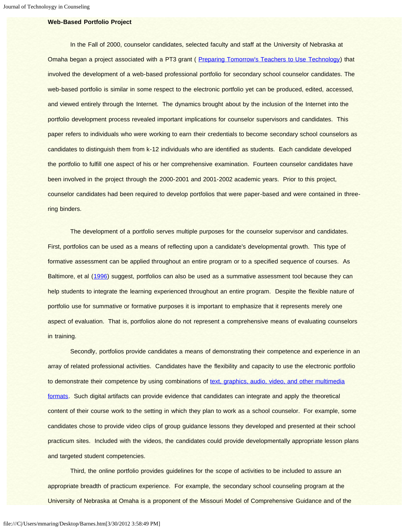# **Web-Based Portfolio Project**

In the Fall of 2000, counselor candidates, selected faculty and staff at the University of Nebraska at Omaha began a project associated with a PT3 grant ( [Preparing Tomorrow's Teachers to Use Technology](http://pt3.unomaha.edu/)) that involved the development of a web-based professional portfolio for secondary school counselor candidates. The web-based portfolio is similar in some respect to the electronic portfolio yet can be produced, edited, accessed, and viewed entirely through the Internet. The dynamics brought about by the inclusion of the Internet into the portfolio development process revealed important implications for counselor supervisors and candidates. This paper refers to individuals who were working to earn their credentials to become secondary school counselors as candidates to distinguish them from k-12 individuals who are identified as students. Each candidate developed the portfolio to fulfill one aspect of his or her comprehensive examination. Fourteen counselor candidates have been involved in the project through the 2000-2001 and 2001-2002 academic years. Prior to this project, counselor candidates had been required to develop portfolios that were paper-based and were contained in threering binders.

The development of a portfolio serves multiple purposes for the counselor supervisor and candidates. First, portfolios can be used as a means of reflecting upon a candidate's developmental growth. This type of formative assessment can be applied throughout an entire program or to a specified sequence of courses. As Baltimore, et al ([1996](#page-1-0)) suggest, portfolios can also be used as a summative assessment tool because they can help students to integrate the learning experienced throughout an entire program. Despite the flexible nature of portfolio use for summative or formative purposes it is important to emphasize that it represents merely one aspect of evaluation. That is, portfolios alone do not represent a comprehensive means of evaluating counselors in training.

 Secondly, portfolios provide candidates a means of demonstrating their competence and experience in an array of related professional activities. Candidates have the flexibility and capacity to use the electronic portfolio to demonstrate their competence by using combinations of [text, graphics, audio, video, and other multimedia](#page-1-0) [formats.](#page-1-0) Such digital artifacts can provide evidence that candidates can integrate and apply the theoretical content of their course work to the setting in which they plan to work as a school counselor. For example, some candidates chose to provide video clips of group guidance lessons they developed and presented at their school practicum sites. Included with the videos, the candidates could provide developmentally appropriate lesson plans and targeted student competencies.

 Third, the online portfolio provides guidelines for the scope of activities to be included to assure an appropriate breadth of practicum experience. For example, the secondary school counseling program at the University of Nebraska at Omaha is a proponent of the Missouri Model of Comprehensive Guidance and of the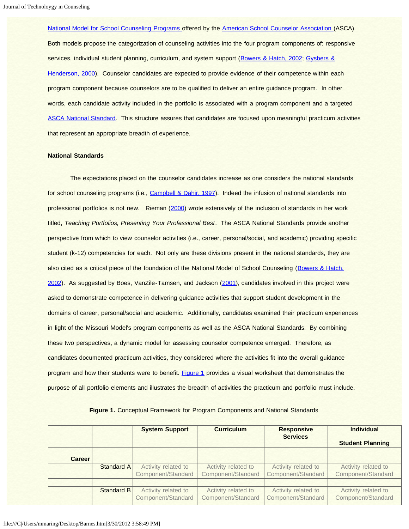[National Model for School Counseling Programs o](http://www.schoolcounselor.org/content.cfm?L1=10)ffered by the [American School Counselor Association \(](http://www.schoolcounselor.org/)ASCA). Both models propose the categorization of counseling activities into the four program components of: responsive services, individual student planning, curriculum, and system support ([Bowers & Hatch, 2002](#page-1-0); [Gysbers &](#page-1-0) [Henderson, 2000\)](#page-1-0). Counselor candidates are expected to provide evidence of their competence within each program component because counselors are to be qualified to deliver an entire guidance program. In other words, each candidate activity included in the portfolio is associated with a program component and a targeted [ASCA National Standard.](http://www.schoolcounselor.org/content.cfm?L1=1&L2=9) This structure assures that candidates are focused upon meaningful practicum activities that represent an appropriate breadth of experience.

### **National Standards**

 The expectations placed on the counselor candidates increase as one considers the national standards for school counseling programs (i.e., [Campbell & Dahir, 1997](#page-1-0)). Indeed the infusion of national standards into professional portfolios is not new. Rieman ([2000](#page-1-0)) wrote extensively of the inclusion of standards in her work titled, *Teaching Portfolios, Presenting Your Professional Best*. The ASCA National Standards provide another perspective from which to view counselor activities (i.e., career, personal/social, and academic) providing specific student (k-12) competencies for each. Not only are these divisions present in the national standards, they are also cited as a critical piece of the foundation of the National Model of School Counseling ([Bowers & Hatch,](#page-1-0) [2002\)](#page-1-0). As suggested by Boes, VanZile-Tamsen, and Jackson ([2001](#page-1-0)), candidates involved in this project were asked to demonstrate competence in delivering guidance activities that support student development in the domains of career, personal/social and academic. Additionally, candidates examined their practicum experiences in light of the Missouri Model's program components as well as the ASCA National Standards. By combining these two perspectives, a dynamic model for assessing counselor competence emerged. Therefore, as candidates documented practicum activities, they considered where the activities fit into the overall guidance program and how their students were to benefit. [Figure 1](#page-3-0) provides a visual worksheet that demonstrates the purpose of all portfolio elements and illustrates the breadth of activities the practicum and portfolio must include.

<span id="page-3-0"></span>

|               |                   | <b>System Support</b>                     | <b>Curriculum</b>                         | <b>Responsive</b><br><b>Services</b>      | <b>Individual</b><br><b>Student Planning</b> |
|---------------|-------------------|-------------------------------------------|-------------------------------------------|-------------------------------------------|----------------------------------------------|
| <b>Career</b> |                   |                                           |                                           |                                           |                                              |
|               | Standard A        | Activity related to<br>Component/Standard | Activity related to<br>Component/Standard | Activity related to<br>Component/Standard | Activity related to<br>Component/Standard    |
|               |                   |                                           |                                           |                                           |                                              |
|               | <b>Standard B</b> | Activity related to<br>Component/Standard | Activity related to<br>Component/Standard | Activity related to<br>Component/Standard | Activity related to<br>Component/Standard    |

#### **Figure 1.** Conceptual Framework for Program Components and National Standards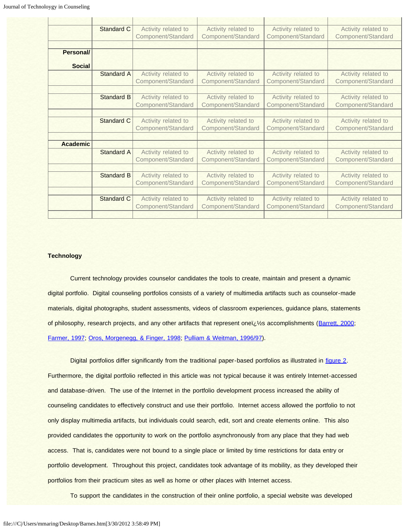|                 | Standard C        | Activity related to                       | Activity related to                       | Activity related to                       | Activity related to                       |
|-----------------|-------------------|-------------------------------------------|-------------------------------------------|-------------------------------------------|-------------------------------------------|
|                 |                   | Component/Standard                        | Component/Standard                        | Component/Standard                        | Component/Standard                        |
|                 |                   |                                           |                                           |                                           |                                           |
| Personal/       |                   |                                           |                                           |                                           |                                           |
| <b>Social</b>   |                   |                                           |                                           |                                           |                                           |
|                 | <b>Standard A</b> | Activity related to<br>Component/Standard | Activity related to<br>Component/Standard | Activity related to<br>Component/Standard | Activity related to<br>Component/Standard |
|                 |                   |                                           |                                           |                                           |                                           |
|                 | <b>Standard B</b> | Activity related to<br>Component/Standard | Activity related to<br>Component/Standard | Activity related to<br>Component/Standard | Activity related to<br>Component/Standard |
|                 |                   |                                           |                                           |                                           |                                           |
|                 | <b>Standard C</b> | Activity related to                       | Activity related to                       | Activity related to                       | Activity related to                       |
|                 |                   | Component/Standard                        | Component/Standard                        | Component/Standard                        | Component/Standard                        |
| <b>Academic</b> |                   |                                           |                                           |                                           |                                           |
|                 | Standard A        | Activity related to                       | Activity related to                       | Activity related to                       | Activity related to                       |
|                 |                   | Component/Standard                        | Component/Standard                        | Component/Standard                        | Component/Standard                        |
|                 |                   |                                           |                                           |                                           |                                           |
|                 | <b>Standard B</b> | Activity related to                       | Activity related to                       | Activity related to                       | Activity related to                       |
|                 |                   | Component/Standard                        | Component/Standard                        | Component/Standard                        | Component/Standard                        |
|                 |                   |                                           |                                           |                                           |                                           |
|                 | Standard C        | Activity related to<br>Component/Standard | Activity related to<br>Component/Standard | Activity related to<br>Component/Standard | Activity related to<br>Component/Standard |
|                 |                   |                                           |                                           |                                           |                                           |

## **Technology**

Current technology provides counselor candidates the tools to create, maintain and present a dynamic digital portfolio. Digital counseling portfolios consists of a variety of multimedia artifacts such as counselor-made materials, digital photographs, student assessments, videos of classroom experiences, guidance plans, statements of philosophy, research projects, and any other artifacts that represent oneï  $\frac{1}{2}$  accomplishments ([Barrett, 2000](#page-1-0); [Farmer, 1997;](#page-1-0) [Oros, Morgenegg, & Finger, 1998;](#page-1-0) [Pulliam & Weitman, 1996/97](#page-1-0)).

Digital portfolios differ significantly from the traditional paper-based portfolios as illustrated in [figure 2.](#page-5-0) Furthermore, the digital portfolio reflected in this article was not typical because it was entirely Internet-accessed and database-driven. The use of the Internet in the portfolio development process increased the ability of counseling candidates to effectively construct and use their portfolio. Internet access allowed the portfolio to not only display multimedia artifacts, but individuals could search, edit, sort and create elements online. This also provided candidates the opportunity to work on the portfolio asynchronously from any place that they had web access. That is, candidates were not bound to a single place or limited by time restrictions for data entry or portfolio development. Throughout this project, candidates took advantage of its mobility, as they developed their portfolios from their practicum sites as well as home or other places with Internet access.

To support the candidates in the construction of their online portfolio, a special website was developed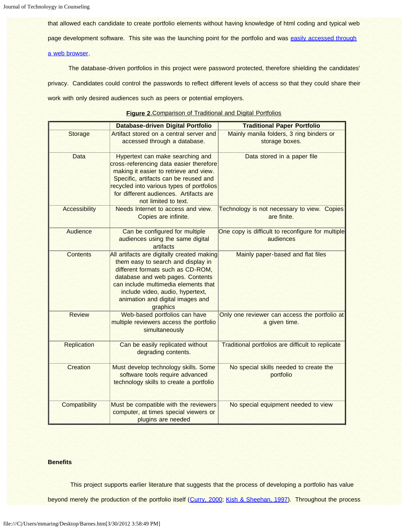that allowed each candidate to create portfolio elements without having knowledge of html coding and typical web page development software. This site was the launching point for the portfolio and was [easily accessed through](#page-1-0) [a web browser.](#page-1-0)

 The database-driven portfolios in this project were password protected, therefore shielding the candidates' privacy. Candidates could control the passwords to reflect different levels of access so that they could share their work with only desired audiences such as peers or potential employers.

<span id="page-5-0"></span>

|                      | Database-driven Digital Portfolio          | <b>Traditional Paper Portfolio</b>                |
|----------------------|--------------------------------------------|---------------------------------------------------|
| Storage              | Artifact stored on a central server and    | Mainly manila folders, 3 ring binders or          |
|                      | accessed through a database.               | storage boxes.                                    |
| Data                 | Hypertext can make searching and           | Data stored in a paper file                       |
|                      | cross-referencing data easier therefore    |                                                   |
|                      | making it easier to retrieve and view.     |                                                   |
|                      | Specific, artifacts can be reused and      |                                                   |
|                      | recycled into various types of portfolios  |                                                   |
|                      | for different audiences. Artifacts are     |                                                   |
|                      | not limited to text.                       |                                                   |
| <b>Accessibility</b> | Needs Internet to access and view.         | Technology is not necessary to view. Copies       |
|                      | Copies are infinite.                       | are finite.                                       |
| Audience             | Can be configured for multiple             | One copy is difficult to reconfigure for multiple |
|                      | audiences using the same digital           | audiences                                         |
|                      | artifacts                                  |                                                   |
| <b>Contents</b>      | All artifacts are digitally created making | Mainly paper-based and flat files                 |
|                      | them easy to search and display in         |                                                   |
|                      | different formats such as CD-ROM,          |                                                   |
|                      | database and web pages. Contents           |                                                   |
|                      | can include multimedia elements that       |                                                   |
|                      | include video, audio, hypertext,           |                                                   |
|                      | animation and digital images and           |                                                   |
|                      | graphics                                   |                                                   |
| <b>Review</b>        | Web-based portfolios can have              | Only one reviewer can access the portfolio at     |
|                      | multiple reviewers access the portfolio    | a given time.                                     |
|                      | simultaneously                             |                                                   |
|                      |                                            |                                                   |
| <b>Replication</b>   | Can be easily replicated without           | Traditional portfolios are difficult to replicate |
|                      | degrading contents.                        |                                                   |
|                      |                                            |                                                   |
| Creation             | Must develop technology skills. Some       | No special skills needed to create the            |
|                      | software tools require advanced            | portfolio                                         |
|                      | technology skills to create a portfolio    |                                                   |
|                      |                                            |                                                   |
| Compatibility        | Must be compatible with the reviewers      | No special equipment needed to view               |
|                      | computer, at times special viewers or      |                                                   |
|                      | plugins are needed                         |                                                   |

# **Figure 2**.Comparison of Traditional and Digital Portfolios

## **Benefits**

This project supports earlier literature that suggests that the process of developing a portfolio has value

beyond merely the production of the portfolio itself ([Curry, 2000; Kish & Sheehan, 1997](#page-1-0)). Throughout the process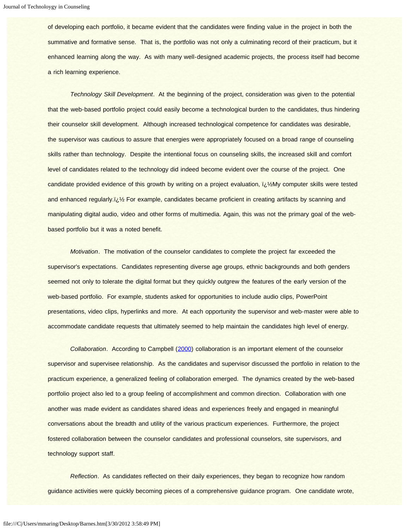of developing each portfolio, it became evident that the candidates were finding value in the project in both the summative and formative sense. That is, the portfolio was not only a culminating record of their practicum, but it enhanced learning along the way. As with many well-designed academic projects, the process itself had become a rich learning experience.

*Technology Skill Development*. At the beginning of the project, consideration was given to the potential that the web-based portfolio project could easily become a technological burden to the candidates, thus hindering their counselor skill development. Although increased technological competence for candidates was desirable, the supervisor was cautious to assure that energies were appropriately focused on a broad range of counseling skills rather than technology. Despite the intentional focus on counseling skills, the increased skill and comfort level of candidates related to the technology did indeed become evident over the course of the project. One candidate provided evidence of this growth by writing on a project evaluation,  $i\hbar$  My computer skills were tested and enhanced regularly.ï is For example, candidates became proficient in creating artifacts by scanning and manipulating digital audio, video and other forms of multimedia. Again, this was not the primary goal of the webbased portfolio but it was a noted benefit.

*Motivation*. The motivation of the counselor candidates to complete the project far exceeded the supervisor's expectations. Candidates representing diverse age groups, ethnic backgrounds and both genders seemed not only to tolerate the digital format but they quickly outgrew the features of the early version of the web-based portfolio. For example, students asked for opportunities to include audio clips, PowerPoint presentations, video clips, hyperlinks and more. At each opportunity the supervisor and web-master were able to accommodate candidate requests that ultimately seemed to help maintain the candidates high level of energy.

*Collaboration*. According to Campbell ([2000](#page-1-0)) collaboration is an important element of the counselor supervisor and supervisee relationship. As the candidates and supervisor discussed the portfolio in relation to the practicum experience, a generalized feeling of collaboration emerged. The dynamics created by the web-based portfolio project also led to a group feeling of accomplishment and common direction. Collaboration with one another was made evident as candidates shared ideas and experiences freely and engaged in meaningful conversations about the breadth and utility of the various practicum experiences. Furthermore, the project fostered collaboration between the counselor candidates and professional counselors, site supervisors, and technology support staff.

*Reflection*. As candidates reflected on their daily experiences, they began to recognize how random guidance activities were quickly becoming pieces of a comprehensive guidance program. One candidate wrote,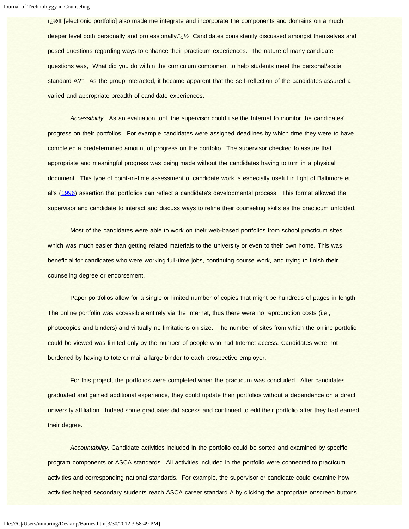i<sub>i</sub>//<sub>2</sub>It [electronic portfolio] also made me integrate and incorporate the components and domains on a much deeper level both personally and professionally.iiity Candidates consistently discussed amongst themselves and posed questions regarding ways to enhance their practicum experiences. The nature of many candidate questions was, "What did you do within the curriculum component to help students meet the personal/social standard A?" As the group interacted, it became apparent that the self-reflection of the candidates assured a varied and appropriate breadth of candidate experiences.

 *Accessibility.* As an evaluation tool, the supervisor could use the Internet to monitor the candidates' progress on their portfolios. For example candidates were assigned deadlines by which time they were to have completed a predetermined amount of progress on the portfolio. The supervisor checked to assure that appropriate and meaningful progress was being made without the candidates having to turn in a physical document. This type of point-in-time assessment of candidate work is especially useful in light of Baltimore et al's ([1996](#page-1-0)) assertion that portfolios can reflect a candidate's developmental process. This format allowed the supervisor and candidate to interact and discuss ways to refine their counseling skills as the practicum unfolded.

Most of the candidates were able to work on their web-based portfolios from school practicum sites, which was much easier than getting related materials to the university or even to their own home. This was beneficial for candidates who were working full-time jobs, continuing course work, and trying to finish their counseling degree or endorsement.

Paper portfolios allow for a single or limited number of copies that might be hundreds of pages in length. The online portfolio was accessible entirely via the Internet, thus there were no reproduction costs (i.e., photocopies and binders) and virtually no limitations on size. The number of sites from which the online portfolio could be viewed was limited only by the number of people who had Internet access. Candidates were not burdened by having to tote or mail a large binder to each prospective employer.

For this project, the portfolios were completed when the practicum was concluded. After candidates graduated and gained additional experience, they could update their portfolios without a dependence on a direct university affiliation. Indeed some graduates did access and continued to edit their portfolio after they had earned their degree.

 *Accountability.* Candidate activities included in the portfolio could be sorted and examined by specific program components or ASCA standards. All activities included in the portfolio were connected to practicum activities and corresponding national standards. For example, the supervisor or candidate could examine how activities helped secondary students reach ASCA career standard A by clicking the appropriate onscreen buttons.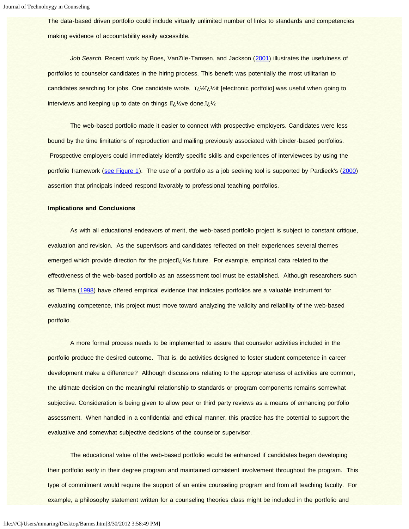The data-based driven portfolio could include virtually unlimited number of links to standards and competencies making evidence of accountability easily accessible.

*Job Search.* Recent work by Boes, VanZile-Tamsen, and Jackson ([2001\)](#page-1-0) illustrates the usefulness of portfolios to counselor candidates in the hiring process. This benefit was potentially the most utilitarian to candidates searching for jobs. One candidate wrote, ��it [electronic portfolio] was useful when going to interviews and keeping up to date on things li $y_2$ ve done. $y_2$ 

The web-based portfolio made it easier to connect with prospective employers. Candidates were less bound by the time limitations of reproduction and mailing previously associated with binder-based portfolios. Prospective employers could immediately identify specific skills and experiences of interviewees by using the portfolio framework ([see Figure 1](#page-3-0)). The use of a portfolio as a job seeking tool is supported by Pardieck's ([2000](#page-1-0)) assertion that principals indeed respond favorably to professional teaching portfolios.

### I**mplications and Conclusions**

 As with all educational endeavors of merit, the web-based portfolio project is subject to constant critique, evaluation and revision. As the supervisors and candidates reflected on their experiences several themes emerged which provide direction for the projecti $\zeta$ %s future. For example, empirical data related to the effectiveness of the web-based portfolio as an assessment tool must be established. Although researchers such as Tillema ([1998](#page-1-0)) have offered empirical evidence that indicates portfolios are a valuable instrument for evaluating competence, this project must move toward analyzing the validity and reliability of the web-based portfolio.

 A more formal process needs to be implemented to assure that counselor activities included in the portfolio produce the desired outcome. That is, do activities designed to foster student competence in career development make a difference? Although discussions relating to the appropriateness of activities are common, the ultimate decision on the meaningful relationship to standards or program components remains somewhat subjective. Consideration is being given to allow peer or third party reviews as a means of enhancing portfolio assessment. When handled in a confidential and ethical manner, this practice has the potential to support the evaluative and somewhat subjective decisions of the counselor supervisor.

The educational value of the web-based portfolio would be enhanced if candidates began developing their portfolio early in their degree program and maintained consistent involvement throughout the program. This type of commitment would require the support of an entire counseling program and from all teaching faculty. For example, a philosophy statement written for a counseling theories class might be included in the portfolio and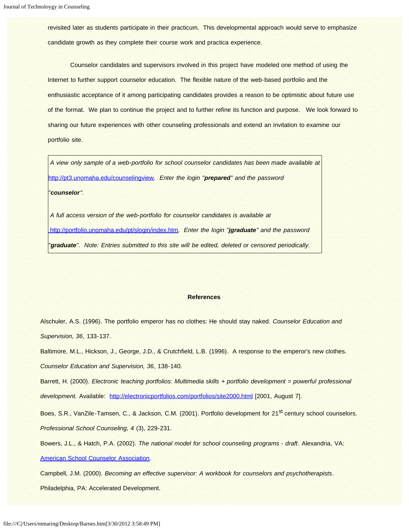revisited later as students participate in their practicum. This developmental approach would serve to emphasize candidate growth as they complete their course work and practica experience.

Counselor candidates and supervisors involved in this project have modeled one method of using the Internet to further support counselor education. The flexible nature of the web-based portfolio and the enthusiastic acceptance of it among participating candidates provides a reason to be optimistic about future use of the format. We plan to continue the project and to further refine its function and purpose. We look forward to sharing our future experiences with other counseling professionals and extend an invitation to examine our portfolio site.

*A view only sample of a web-portfolio for school counselor candidates has been made available at* <http://pt3.unomaha.edu/counselingview>*. Enter the login "prepared" and the password "counselor".*

*A full access version of the web-portfolio for counselor candidates is available at* <http://portfolio.unomaha.edu/pt/slogin/index.htm>*. Enter the login "jgraduate" and the password "graduate". Note: Entries submitted to this site will be edited, deleted or censored periodically.*

#### **References**

Alschuler, A.S. (1996). The portfolio emperor has no clothes: He should stay naked. *Counselor Education and Supervision, 36*, 133-137.

Baltimore, M.L., Hickson, J., George, J.D., & Crutchfield, L.B. (1996). A response to the emperor's new clothes. *Counselor Education and Supervision, 36*, 138-140.

Barrett, H. (2000). *Electronic teaching portfolios: Multimedia skills + portfolio development = powerful professional development.* Available: <http://electronicportfolios.com/portfolios/site2000.html> [2001, August 7].

Boes, S.R., VanZile-Tamsen, C., & Jackson, C.M. (2001). Portfolio development for 21<sup>st</sup> century school counselors. *Professional School Counseling, 4* (3), 229-231.

Bowers, J.L., & Hatch, P.A. (2002). *The national model for school counseling programs - draft*. Alexandria, VA: [American School Counselor Association](http://www.schoolcounselor.org/).

Campbell, J.M. (2000). *Becoming an effective supervisor: A workbook for counselors and psychotherapists*.

Philadelphia, PA: Accelerated Development.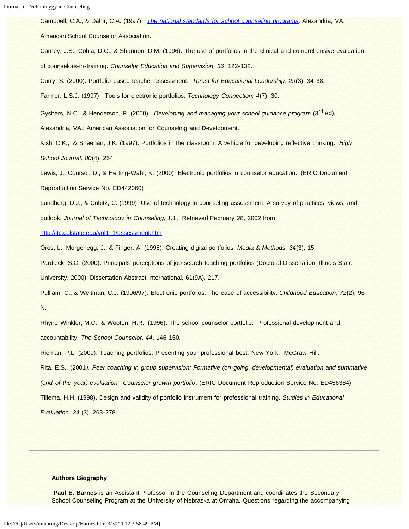Campbell, C.A., & Dahir, C.A. (1997). *[The national standards for school counseling programs](http://www.schoolcounselor.org/content.cfm?L1=1&L2=9)*. Alexandria, VA:

American School Counselor Association.

Carney, J.S., Cobia, D.C., & Shannon, D.M. (1996). The use of portfolios in the clinical and comprehensive evaluation of counselors-in-training*. Counselor Education and Supervision, 36*, 122-132.

Curry, S. (2000). Portfolio-based teacher assessment. *Thrust for Educational Leadership*, *29*(3), 34-38.

Farmer, L.S.J. (1997). Tools for electronic portfolios. *Technology Connection, 4*(7), 30.

Gysbers, N.C., & Henderson, P. (2000). *Developing and managing your school guidance program* (3<sup>rd</sup> ed).

Alexandria, VA.: American Association for Counseling and Development.

Kish, C.K., & Sheehan, J.K. (1997). Portfolios in the classroom: A vehicle for developing reflective thinking. *High School Journal, 80*(4), 254.

Lewis, J., Coursol, D., & Herting-Wahl, K. (2000). Electronic portfolios in counselor education. (ERIC Document Reproduction Service No. ED442060)

Lundberg, D.J., & Cobitz, C. (1999). Use of technology in counseling assessment: A survey of practices, views, and outlook. *Journal of Technology in Counseling, 1.1*, Retrieved February 28, 2002 from

[http://jtc.colstate.edu/vol1\\_1/assessment.htm](http://jtc.colstate.edu/vol1_1/assessment.htm)

Oros, L., Morgenegg, J., & Finger, A. (1998). Creating digital portfolios. *Media & Methods, 34*(3), 15.

Pardieck, S.C. (2000). Principals' perceptions of job search teaching portfolios (Doctoral Dissertation, Illinois State University, 2000). Dissertation Abstract International, 61(9A), 217.

Pulliam, C., & Weitman, C.J. (1996/97). Electronic portfolios: The ease of accessibility. *Childhood Education, 72*(2), 96- N.

Rhyne-Winkler, M.C., & Wooten, H.R., (1996). The school counselor portfolio: Professional development and accountability. *The School Counselor, 44*, 146-150.

Rieman, P.L. (2000). Teaching portfolios: Presenting your professional best. New York: McGraw-Hill.

Rita, E.S., (2001*). Peer coaching in group supervision: Formative (on-going, developmental) evaluation and summative (end-of-the-year) evaluation: Counselor growth portfolio*. (ERIC Document Reproduction Service No. ED456384) Tillema, H.H. (1998). Design and validity of portfolio instrument for professional training. *Studies in Educational*

*Evaluation, 24* (3), 263-278.

#### **Authors Biography**

**Paul E. Barnes** is an Assistant Professor in the Counseling Department and coordinates the Secondary School Counseling Program at the University of Nebraska at Omaha. Questions regarding the accompanying